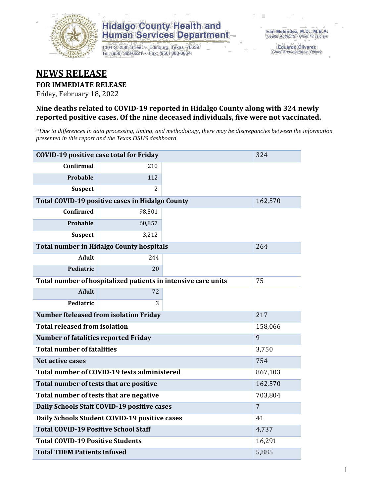

1304 S. 25th Street · Edinburg, Texas 78539 Tel: (956) 383-6221 · Fax: (956) 383-8864

**Eduardo Olivarez** Chief Administrative Officer

### **NEWS RELEASE**

#### **FOR IMMEDIATE RELEASE**

Friday, February 18, 2022

#### **Nine deaths related to COVID-19 reported in Hidalgo County along with 324 newly reported positive cases. Of the nine deceased individuals, five were not vaccinated.**

*\*Due to differences in data processing, timing, and methodology, there may be discrepancies between the information presented in this report and the Texas DSHS dashboard.*

| <b>COVID-19 positive case total for Friday</b><br>324 |                                                 |                                                               |                |  |  |  |
|-------------------------------------------------------|-------------------------------------------------|---------------------------------------------------------------|----------------|--|--|--|
| <b>Confirmed</b>                                      | 210                                             |                                                               |                |  |  |  |
| <b>Probable</b>                                       | 112                                             |                                                               |                |  |  |  |
| <b>Suspect</b>                                        | 2                                               |                                                               |                |  |  |  |
|                                                       | Total COVID-19 positive cases in Hidalgo County |                                                               | 162,570        |  |  |  |
| <b>Confirmed</b>                                      | 98,501                                          |                                                               |                |  |  |  |
| <b>Probable</b>                                       | 60,857                                          |                                                               |                |  |  |  |
| <b>Suspect</b>                                        | 3,212                                           |                                                               |                |  |  |  |
|                                                       | <b>Total number in Hidalgo County hospitals</b> |                                                               | 264            |  |  |  |
| <b>Adult</b>                                          | 244                                             |                                                               |                |  |  |  |
| Pediatric                                             | 20                                              |                                                               |                |  |  |  |
|                                                       |                                                 | Total number of hospitalized patients in intensive care units | 75             |  |  |  |
| <b>Adult</b>                                          | 72                                              |                                                               |                |  |  |  |
| Pediatric                                             | 3                                               |                                                               |                |  |  |  |
| <b>Number Released from isolation Friday</b>          |                                                 | 217                                                           |                |  |  |  |
| <b>Total released from isolation</b>                  |                                                 | 158,066                                                       |                |  |  |  |
| <b>Number of fatalities reported Friday</b>           |                                                 |                                                               | 9              |  |  |  |
| <b>Total number of fatalities</b>                     |                                                 |                                                               | 3,750          |  |  |  |
| <b>Net active cases</b>                               |                                                 |                                                               | 754            |  |  |  |
|                                                       | Total number of COVID-19 tests administered     |                                                               | 867,103        |  |  |  |
| Total number of tests that are positive               |                                                 |                                                               | 162,570        |  |  |  |
| Total number of tests that are negative               |                                                 | 703,804                                                       |                |  |  |  |
|                                                       | Daily Schools Staff COVID-19 positive cases     |                                                               | $\overline{7}$ |  |  |  |
|                                                       | Daily Schools Student COVID-19 positive cases   |                                                               | 41             |  |  |  |
| <b>Total COVID-19 Positive School Staff</b>           |                                                 | 4,737                                                         |                |  |  |  |
| <b>Total COVID-19 Positive Students</b>               |                                                 |                                                               | 16,291         |  |  |  |
| <b>Total TDEM Patients Infused</b>                    | 5,885                                           |                                                               |                |  |  |  |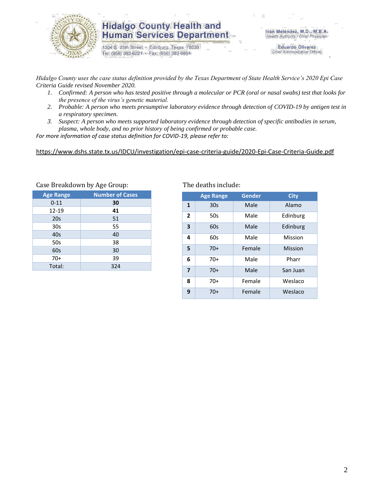

1304 S. 25th Street · Edinburg, Texas 78539 Tel: (956) 383-6221 · Fax: (956) 383-8864

**Eduardo Olivarez** Chief Administrative Officer

*Hidalgo County uses the case status definition provided by the Texas Department of State Health Service's 2020 Epi Case Criteria Guide revised November 2020.*

- *1. Confirmed: A person who has tested positive through a molecular or PCR (oral or nasal swabs) test that looks for the presence of the virus's genetic material.*
- *2. Probable: A person who meets presumptive laboratory evidence through detection of COVID-19 by antigen test in a respiratory specimen.*
- *3. Suspect: A person who meets supported laboratory evidence through detection of specific antibodies in serum, plasma, whole body, and no prior history of being confirmed or probable case.*

*For more information of case status definition for COVID-19, please refer to:*

<https://www.dshs.state.tx.us/IDCU/investigation/epi-case-criteria-guide/2020-Epi-Case-Criteria-Guide.pdf>

| <b>Age Range</b> | <b>Number of Cases</b> |
|------------------|------------------------|
| $0 - 11$         | 30                     |
| 12-19            | 41                     |
| 20s              | 51                     |
| 30 <sub>s</sub>  | 55                     |
| 40s              | 40                     |
| 50s              | 38                     |
| 60s              | 30                     |
| $70+$            | 39                     |
| Total:           | 324                    |
|                  |                        |

Case Breakdown by Age Group: The deaths include:

|                | <b>Age Range</b> | Gender | <b>City</b> |
|----------------|------------------|--------|-------------|
| $\mathbf{1}$   | 30s              | Male   | Alamo       |
| $\overline{2}$ | 50s              | Male   | Edinburg    |
| 3              | 60s              | Male   | Edinburg    |
| 4              | 60s              | Male   | Mission     |
| 5              | $70+$            | Female | Mission     |
| 6              | $70+$            | Male   | Pharr       |
| $\overline{7}$ | $70+$            | Male   | San Juan    |
| 8              | 70+              | Female | Weslaco     |
| 9              | $70+$            | Female | Weslaco     |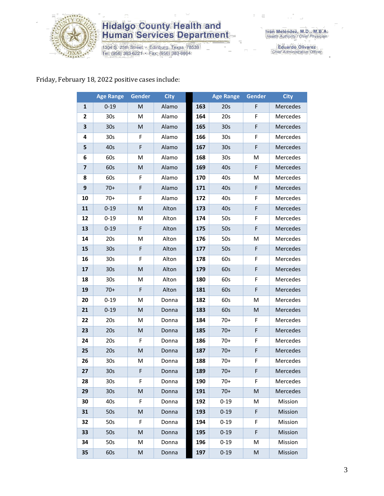

1304 S. 25th Street • Edinburg, Texas 78539<br>Tel: (956) 383-6221 • Fax: (956) 383-8864

Iván Meléndez, M.D., M.B.A.<br>Health Authority / Chief Physician

Eduardo Olivarez<br>Chief Administrative Officer

#### Friday, February 18, 2022 positive cases include:

|                         | <b>Age Range</b> | Gender    | <b>City</b> |     | <b>Age Range</b> | Gender    | <b>City</b> |
|-------------------------|------------------|-----------|-------------|-----|------------------|-----------|-------------|
| 1                       | $0 - 19$         | M         | Alamo       | 163 | 20s              | F         | Mercedes    |
| 2                       | 30 <sub>s</sub>  | м         | Alamo       | 164 | 20s              | F         | Mercedes    |
| 3                       | 30 <sub>s</sub>  | M         | Alamo       | 165 | 30 <sub>s</sub>  | F         | Mercedes    |
| 4                       | 30 <sub>s</sub>  | F         | Alamo       | 166 | 30 <sub>s</sub>  | F         | Mercedes    |
| 5                       | 40s              | F         | Alamo       | 167 | 30 <sub>s</sub>  | F         | Mercedes    |
| 6                       | 60s              | M         | Alamo       | 168 | 30 <sub>s</sub>  | M         | Mercedes    |
| $\overline{\mathbf{z}}$ | 60s              | M         | Alamo       | 169 | 40s              | F         | Mercedes    |
| 8                       | 60s              | F         | Alamo       | 170 | 40s              | M         | Mercedes    |
| 9                       | $70+$            | F         | Alamo       | 171 | 40s              | F         | Mercedes    |
| 10                      | $70+$            | F         | Alamo       | 172 | 40s              | F         | Mercedes    |
| 11                      | $0 - 19$         | M         | Alton       | 173 | 40s              | F         | Mercedes    |
| 12                      | $0 - 19$         | M         | Alton       | 174 | 50s              | F         | Mercedes    |
| 13                      | $0 - 19$         | F         | Alton       | 175 | 50s              | F         | Mercedes    |
| 14                      | 20s              | M         | Alton       | 176 | 50s              | M         | Mercedes    |
| 15                      | 30 <sub>s</sub>  | F         | Alton       | 177 | 50s              | F         | Mercedes    |
| 16                      | 30 <sub>s</sub>  | F         | Alton       | 178 | 60s              | F         | Mercedes    |
| 17                      | 30 <sub>s</sub>  | ${\sf M}$ | Alton       | 179 | 60s              | F         | Mercedes    |
| 18                      | 30 <sub>s</sub>  | M         | Alton       | 180 | 60s              | F         | Mercedes    |
| 19                      | $70+$            | F         | Alton       | 181 | 60s              | F         | Mercedes    |
| 20                      | $0 - 19$         | M         | Donna       | 182 | 60s              | M         | Mercedes    |
| 21                      | $0 - 19$         | ${\sf M}$ | Donna       | 183 | 60s              | ${\sf M}$ | Mercedes    |
| 22                      | 20s              | M         | Donna       | 184 | $70+$            | F         | Mercedes    |
| 23                      | 20s              | M         | Donna       | 185 | $70+$            | F         | Mercedes    |
| 24                      | 20s              | F         | Donna       | 186 | $70+$            | F         | Mercedes    |
| 25                      | 20s              | M         | Donna       | 187 | $70+$            | F         | Mercedes    |
| 26                      | 30s              | M         | Donna       | 188 | $70+$            | F         | Mercedes    |
| 27                      | 30s              | F         | Donna       | 189 | $70+$            | F         | Mercedes    |
| 28                      | 30s              | F.        | Donna       | 190 | $70+$            | F.        | Mercedes    |
| 29                      | 30 <sub>s</sub>  | M         | Donna       | 191 | $70+$            | M         | Mercedes    |
| 30                      | 40s              | F         | Donna       | 192 | $0 - 19$         | M         | Mission     |
| 31                      | 50s              | M         | Donna       | 193 | $0 - 19$         | F         | Mission     |
| 32                      | 50s              | F         | Donna       | 194 | $0 - 19$         | F         | Mission     |
| 33                      | 50s              | M         | Donna       | 195 | $0 - 19$         | F         | Mission     |
| 34                      | 50s              | M         | Donna       | 196 | $0 - 19$         | M         | Mission     |
| 35                      | 60s              | M         | Donna       | 197 | $0 - 19$         | M         | Mission     |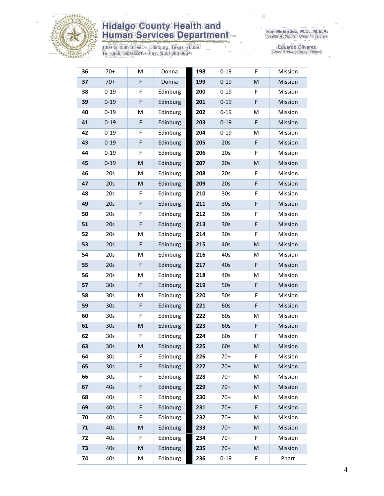

1304 S. 25th Street • Edinburg, Texas 78539<br>Tel: (956) 383-6221 • Fax: (956) 383-8864

Eduardo Olivarez<br>Chief Administrative Officer

| 36 | $70+$           | M           | Donna    | 198 | $0 - 19$        | F  | Mission |
|----|-----------------|-------------|----------|-----|-----------------|----|---------|
| 37 | $70+$           | F           | Donna    | 199 | $0 - 19$        | M  | Mission |
| 38 | $0 - 19$        | F           | Edinburg | 200 | $0 - 19$        | F  | Mission |
| 39 | $0 - 19$        | $\mathsf F$ | Edinburg | 201 | $0 - 19$        | F  | Mission |
| 40 | $0 - 19$        | M           | Edinburg | 202 | $0 - 19$        | M  | Mission |
| 41 | $0 - 19$        | F           | Edinburg | 203 | $0 - 19$        | F  | Mission |
| 42 | $0 - 19$        | F           | Edinburg | 204 | $0 - 19$        | M  | Mission |
| 43 | $0 - 19$        | F           | Edinburg | 205 | 20s             | F  | Mission |
| 44 | $0 - 19$        | F           | Edinburg | 206 | 20s             | F  | Mission |
| 45 | $0 - 19$        | M           | Edinburg | 207 | 20s             | M  | Mission |
| 46 | 20s             | M           | Edinburg | 208 | 20s             | F  | Mission |
| 47 | 20s             | M           | Edinburg | 209 | 20s             | F  | Mission |
| 48 | 20s             | F           | Edinburg | 210 | 30s             | F  | Mission |
| 49 | 20s             | $\mathsf F$ | Edinburg | 211 | 30 <sub>s</sub> | F  | Mission |
| 50 | 20s             | F           | Edinburg | 212 | 30 <sub>s</sub> | F  | Mission |
| 51 | 20s             | $\mathsf F$ | Edinburg | 213 | 30 <sub>s</sub> | F  | Mission |
| 52 | 20s             | M           | Edinburg | 214 | 30 <sub>s</sub> | F  | Mission |
| 53 | 20s             | F           | Edinburg | 215 | 40s             | M  | Mission |
| 54 | 20s             | M           | Edinburg | 216 | 40s             | M  | Mission |
| 55 | 20s             | F           | Edinburg | 217 | 40s             | F  | Mission |
| 56 | 20s             | M           | Edinburg | 218 | 40s             | M  | Mission |
| 57 | 30 <sub>s</sub> | F           | Edinburg | 219 | 50s             | F  | Mission |
| 58 | 30s             | M           | Edinburg | 220 | 50s             | F  | Mission |
| 59 | 30 <sub>s</sub> | F           | Edinburg | 221 | 60s             | F  | Mission |
| 60 | 30 <sub>s</sub> | F           | Edinburg | 222 | 60s             | M  | Mission |
| 61 | 30 <sub>s</sub> | ${\sf M}$   | Edinburg | 223 | 60s             | F  | Mission |
| 62 | 30s             | F           | Edinburg | 224 | 60s             | F  | Mission |
| 63 | 30 <sub>s</sub> | M           | Edinburg | 225 | 60s             | M  | Mission |
| 64 | 30s             | F           | Edinburg | 226 | $70+$           | F  | Mission |
| 65 | 30 <sub>s</sub> | $\mathsf F$ | Edinburg | 227 | $70+$           | M  | Mission |
| 66 | 30 <sub>s</sub> | F           | Edinburg | 228 | $70+$           | M  | Mission |
| 67 | 40s             | F           | Edinburg | 229 | $70+$           | M  | Mission |
| 68 | 40s             | F           | Edinburg | 230 | $70+$           | M  | Mission |
| 69 | 40s             | $\mathsf F$ | Edinburg | 231 | $70+$           | F  | Mission |
| 70 | 40s             | F           | Edinburg | 232 | $70+$           | M  | Mission |
| 71 | 40s             | M           | Edinburg | 233 | $70+$           | M  | Mission |
| 72 | 40s             | F           | Edinburg | 234 | $70+$           | F. | Mission |
| 73 | 40s             | M           | Edinburg | 235 | $70+$           | M  | Mission |
| 74 | 40s             | M           | Edinburg | 236 | $0 - 19$        | F  | Pharr   |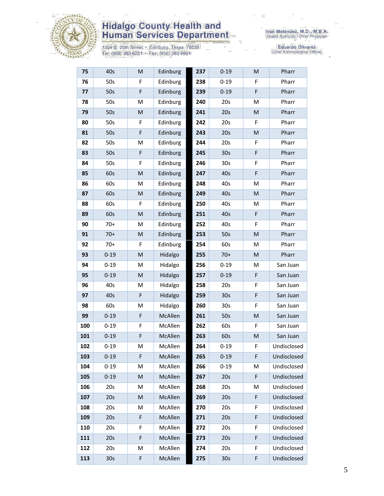

1304 S. 25th Street • Edinburg, Texas 78539<br>Tel: (956) 383-6221 • Fax: (956) 383-8864

Eduardo Olivarez<br>Chief Administrative Officer

| 75  | 40s             | M                                                                                                          | Edinburg | 237 | $0 - 19$        | M         | Pharr       |
|-----|-----------------|------------------------------------------------------------------------------------------------------------|----------|-----|-----------------|-----------|-------------|
| 76  | 50s             | F                                                                                                          | Edinburg | 238 | $0 - 19$        | F         | Pharr       |
| 77  | 50s             | F                                                                                                          | Edinburg | 239 | $0 - 19$        | F         | Pharr       |
| 78  | 50s             | M                                                                                                          | Edinburg | 240 | 20s             | M         | Pharr       |
| 79  | 50s             | M                                                                                                          | Edinburg | 241 | 20s             | M         | Pharr       |
| 80  | 50s             | F                                                                                                          | Edinburg | 242 | 20s             | F         | Pharr       |
| 81  | 50s             | F                                                                                                          | Edinburg | 243 | 20s             | M         | Pharr       |
| 82  | 50s             | M                                                                                                          | Edinburg | 244 | 20s             | F         | Pharr       |
| 83  | 50s             | $\mathsf F$                                                                                                | Edinburg | 245 | 30s             | F         | Pharr       |
| 84  | 50s             | F                                                                                                          | Edinburg | 246 | 30 <sub>s</sub> | F         | Pharr       |
| 85  | 60s             | $\mathsf{M}% _{T}=\mathsf{M}_{T}\!\left( a,b\right) ,\ \mathsf{M}_{T}=\mathsf{M}_{T}\!\left( a,b\right) ,$ | Edinburg | 247 | 40s             | F         | Pharr       |
| 86  | 60s             | M                                                                                                          | Edinburg | 248 | 40s             | M         | Pharr       |
| 87  | 60s             | ${\sf M}$                                                                                                  | Edinburg | 249 | 40s             | ${\sf M}$ | Pharr       |
| 88  | 60s             | F                                                                                                          | Edinburg | 250 | 40s             | M         | Pharr       |
| 89  | 60s             | $\mathsf{M}% _{T}=\mathsf{M}_{T}\!\left( a,b\right) ,\ \mathsf{M}_{T}=\mathsf{M}_{T}\!\left( a,b\right) ,$ | Edinburg | 251 | 40s             | F         | Pharr       |
| 90  | $70+$           | M                                                                                                          | Edinburg | 252 | 40s             | F         | Pharr       |
| 91  | $70+$           | M                                                                                                          | Edinburg | 253 | 50s             | M         | Pharr       |
| 92  | $70+$           | F                                                                                                          | Edinburg | 254 | 60s             | M         | Pharr       |
| 93  | $0 - 19$        | $\mathsf{M}% _{T}=\mathsf{M}_{T}\!\left( a,b\right) ,\ \mathsf{M}_{T}=\mathsf{M}_{T}\!\left( a,b\right) ,$ | Hidalgo  | 255 | $70+$           | M         | Pharr       |
| 94  | $0 - 19$        | M                                                                                                          | Hidalgo  | 256 | $0 - 19$        | M         | San Juan    |
| 95  | $0 - 19$        | ${\sf M}$                                                                                                  | Hidalgo  | 257 | $0 - 19$        | F         | San Juan    |
| 96  | 40s             | M                                                                                                          | Hidalgo  | 258 | 20s             | F         | San Juan    |
| 97  | 40s             | $\mathsf F$                                                                                                | Hidalgo  | 259 | 30 <sub>s</sub> | F         | San Juan    |
| 98  | 60s             | M                                                                                                          | Hidalgo  | 260 | 30 <sub>s</sub> | F         | San Juan    |
| 99  | $0 - 19$        | F                                                                                                          | McAllen  | 261 | 50s             | M         | San Juan    |
| 100 | $0 - 19$        | F                                                                                                          | McAllen  | 262 | 60s             | F         | San Juan    |
| 101 | $0 - 19$        | F                                                                                                          | McAllen  | 263 | 60s             | ${\sf M}$ | San Juan    |
| 102 | $0 - 19$        | M                                                                                                          | McAllen  | 264 | $0 - 19$        | F         | Undisclosed |
| 103 | $0 - 19$        | F                                                                                                          | McAllen  | 265 | $0 - 19$        | F         | Undisclosed |
| 104 | $0 - 19$        | M                                                                                                          | McAllen  | 266 | $0 - 19$        | M         | Undisclosed |
| 105 | $0 - 19$        | M                                                                                                          | McAllen  | 267 | 20s             | F         | Undisclosed |
| 106 | 20s             | M                                                                                                          | McAllen  | 268 | 20s             | M         | Undisclosed |
| 107 | 20s             | ${\sf M}$                                                                                                  | McAllen  | 269 | 20s             | F         | Undisclosed |
| 108 | 20s             | M                                                                                                          | McAllen  | 270 | 20s             | F         | Undisclosed |
| 109 | 20s             | $\mathsf F$                                                                                                | McAllen  | 271 | 20s             | F         | Undisclosed |
| 110 | 20s             | F                                                                                                          | McAllen  | 272 | 20s             | F         | Undisclosed |
| 111 | 20s             | F                                                                                                          | McAllen  | 273 | 20s             | F         | Undisclosed |
| 112 | 20s             | M                                                                                                          | McAllen  | 274 | 20s             | F         | Undisclosed |
| 113 | 30 <sub>s</sub> | F                                                                                                          | McAllen  | 275 | 30s             | F         | Undisclosed |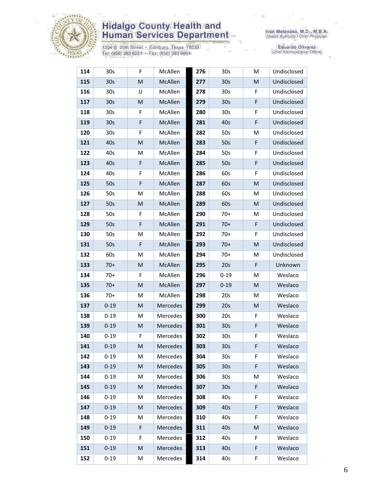

1304 S. 25th Street • Edinburg, Texas 78539<br>Tel: (956) 383-6221 • Fax: (956) 383-8864

Iván Meléndez, M.D., M.B.A.<br>Health Authority / Chief Physician

Eduardo Olivarez<br>Chief Administrative Officer

| 114 | 30 <sub>s</sub> | F | McAllen         | 276 | 30s             | M | Undisclosed |
|-----|-----------------|---|-----------------|-----|-----------------|---|-------------|
| 115 | 30 <sub>s</sub> | M | McAllen         | 277 | 30 <sub>s</sub> | M | Undisclosed |
| 116 | 30 <sub>s</sub> | U | McAllen         | 278 | 30s             | F | Undisclosed |
| 117 | 30 <sub>s</sub> | M | McAllen         | 279 | 30 <sub>s</sub> | F | Undisclosed |
| 118 | 30 <sub>s</sub> | F | McAllen         | 280 | 30s             | F | Undisclosed |
| 119 | 30 <sub>s</sub> | F | McAllen         | 281 | 40s             | F | Undisclosed |
| 120 | 30 <sub>s</sub> | F | McAllen         | 282 | 50s             | M | Undisclosed |
| 121 | 40s             | M | McAllen         | 283 | 50s             | F | Undisclosed |
| 122 | 40s             | M | McAllen         | 284 | 50s             | F | Undisclosed |
| 123 | 40s             | F | McAllen         | 285 | 50s             | F | Undisclosed |
| 124 | 40s             | F | McAllen         | 286 | 60s             | F | Undisclosed |
| 125 | 50s             | F | McAllen         | 287 | 60s             | M | Undisclosed |
| 126 | 50s             | M | McAllen         | 288 | 60s             | M | Undisclosed |
| 127 | 50s             | M | McAllen         | 289 | 60s             | M | Undisclosed |
| 128 | 50s             | F | McAllen         | 290 | $70+$           | M | Undisclosed |
| 129 | 50s             | F | McAllen         | 291 | $70+$           | F | Undisclosed |
| 130 | 50s             | М | McAllen         | 292 | $70+$           | F | Undisclosed |
| 131 | 50s             | F | McAllen         | 293 | $70+$           | M | Undisclosed |
| 132 | 60s             | M | McAllen         | 294 | $70+$           | M | Undisclosed |
| 133 | $70+$           | M | McAllen         | 295 | 20s             | F | Unknown     |
| 134 | $70+$           | F | McAllen         | 296 | $0 - 19$        | M | Weslaco     |
| 135 | $70+$           | M | McAllen         | 297 | $0 - 19$        | M | Weslaco     |
| 136 | $70+$           | М | McAllen         | 298 | 20s             | м | Weslaco     |
| 137 | $0 - 19$        | M | Mercedes        | 299 | 20s             | M | Weslaco     |
| 138 | $0 - 19$        | М | Mercedes        | 300 | 20s             | F | Weslaco     |
| 139 | $0 - 19$        | M | Mercedes        | 301 | 30 <sub>s</sub> | F | Weslaco     |
| 140 | $0 - 19$        | F | Mercedes        | 302 | 30s             | F | Weslaco     |
| 141 | $0 - 19$        | M | Mercedes        | 303 | 30s             | F | Weslaco     |
| 142 | $0 - 19$        | M | Mercedes        | 304 | 30 <sub>s</sub> | F | Weslaco     |
| 143 | $0 - 19$        | M | <b>Mercedes</b> | 305 | 30 <sub>s</sub> | F | Weslaco     |
| 144 | $0 - 19$        | Μ | Mercedes        | 306 | 30 <sub>s</sub> | M | Weslaco     |
| 145 | $0 - 19$        | M | Mercedes        | 307 | 30 <sub>s</sub> | F | Weslaco     |
| 146 | $0 - 19$        | M | Mercedes        | 308 | 40s             | F | Weslaco     |
| 147 | $0 - 19$        | M | Mercedes        | 309 | 40s             | F | Weslaco     |
| 148 | $0 - 19$        | M | Mercedes        | 310 | 40s             | F | Weslaco     |
| 149 | $0 - 19$        | F | Mercedes        | 311 | 40s             | M | Weslaco     |
| 150 | $0 - 19$        | F | Mercedes        | 312 | 40s             | F | Weslaco     |
| 151 | $0 - 19$        | M | Mercedes        | 313 | 40s             | F | Weslaco     |
| 152 | $0 - 19$        | M | Mercedes        | 314 | 40s             | F | Weslaco     |